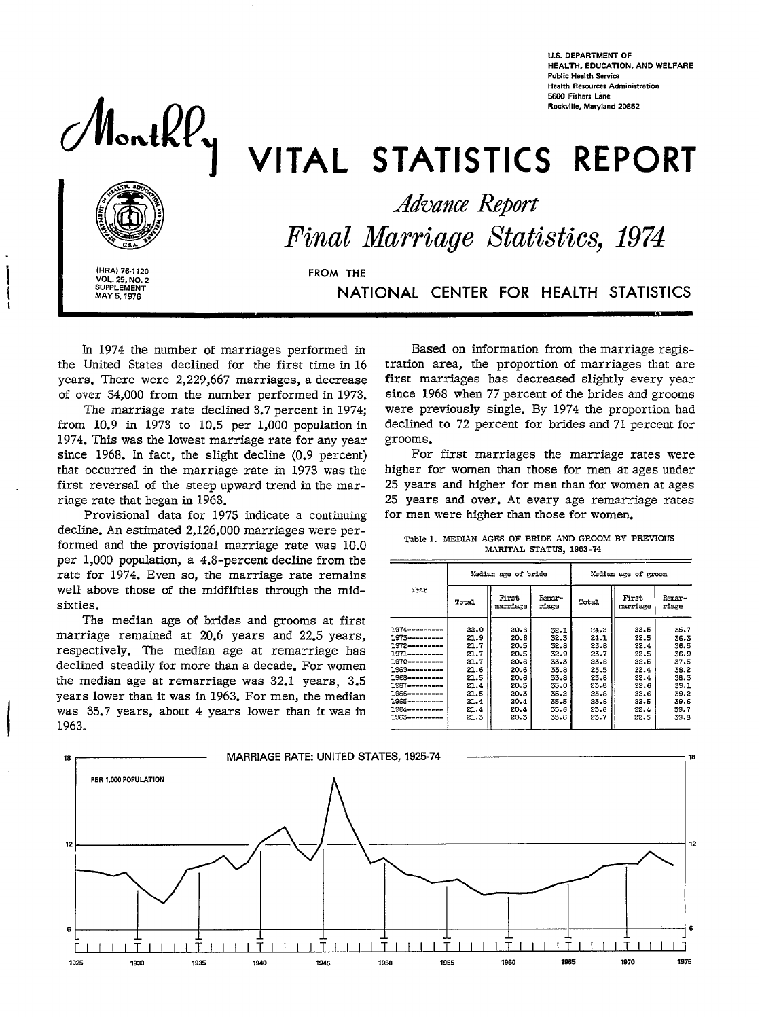**U.S. DEPARTMENT OF** HEALTH, EDUCATION, AND WELFARE **Public Health Service Health Resources Administration** 5600 Fishers Lane Rockville, Maryland 20852

# Monthly

# VITAL STATISTICS REPORT



**Advance Report** Final Marriage Statistics, 1974

(HRA) 76-1120 **VOL. 25, NO. 2**<br>SUPPLEMENT MAY 5, 1976

FROM THE

NATIONAL CENTER FOR HEALTH STATISTICS

In 1974 the number of marriages performed in the United States declined for the first time in 16 years. There were 2,229,667 marriages, a decrease of over 54,000 from the number performed in 1973.

The marriage rate declined 3.7 percent in 1974; from  $10.9$  in 1973 to  $10.5$  per 1,000 population in 1974. This was the lowest marriage rate for any year since 1968. In fact, the slight decline (0.9 percent) that occurred in the marriage rate in 1973 was the first reversal of the steep upward trend in the marriage rate that began in 1963.

Provisional data for 1975 indicate a continuing decline. An estimated 2,126,000 marriages were performed and the provisional marriage rate was 10.0 per 1,000 population, a 4.8-percent decline from the rate for 1974. Even so, the marriage rate remains well above those of the midfifties through the midsixties.

The median age of brides and grooms at first marriage remained at 20.6 years and 22.5 years, respectively. The median age at remarriage has declined steadily for more than a decade. For women the median age at remarriage was 32.1 years, 3.5 years lower than it was in 1963. For men, the median was 35.7 years, about 4 years lower than it was in 1963.

Based on information from the marriage registration area, the proportion of marriages that are first marriages has decreased slightly every year since 1968 when 77 percent of the brides and grooms were previously single. By 1974 the proportion had declined to 72 percent for brides and 71 percent for grooms.

For first marriages the marriage rates were higher for women than those for men at ages under 25 years and higher for men than for women at ages 25 years and over. At every age remarriage rates for men were higher than those for women.

|                                                                                                                                                                                                                           |                                                                                              | Median age of bride                                                                          |                                                                                              | Median age of groom                                                                          |                                                                                              |                                                                                              |  |
|---------------------------------------------------------------------------------------------------------------------------------------------------------------------------------------------------------------------------|----------------------------------------------------------------------------------------------|----------------------------------------------------------------------------------------------|----------------------------------------------------------------------------------------------|----------------------------------------------------------------------------------------------|----------------------------------------------------------------------------------------------|----------------------------------------------------------------------------------------------|--|
| Year                                                                                                                                                                                                                      | Total                                                                                        | First<br>Femar-<br>marriage<br>riace                                                         |                                                                                              | Total                                                                                        | First<br>marriage                                                                            | Remar-<br>riage                                                                              |  |
| $1974 - - - - - - -$<br>$1973$ ----------<br>$1972$ ---------<br>1971----------<br>1970---------<br>1969 ---------<br>1968---------<br>1967---------<br>1966---------<br>1965----------<br>1964---------<br>1983--------- | 22.0<br>21.9<br>21.7<br>21.7<br>21.7<br>21.6<br>21.5<br>21.4<br>21.5<br>21.4<br>21.4<br>21.3 | 20.6<br>20.6<br>20.5<br>20.5<br>20.6<br>20.6<br>20.6<br>20.5<br>20.3<br>20.4<br>20.4<br>20.3 | 32.1<br>32.3<br>32.8<br>32.9<br>33.3<br>33.8<br>33.8<br>35.0<br>35.2<br>35.5<br>35.6<br>35.6 | 24.2<br>24.1<br>23.8<br>23.7<br>23.6<br>23.5<br>23.6<br>23.8<br>23.8<br>23.6<br>23.6<br>23.7 | 22.5<br>22.5<br>22.4<br>22.5<br>22.5<br>22.4<br>22.4<br>22.6<br>22.6<br>22.5<br>22.4<br>22.5 | 35.7<br>36.3<br>36.5<br>36.9<br>37.5<br>38.2<br>38.3<br>39.1<br>39.2<br>39.6<br>39.7<br>39.8 |  |

Table 1. MEDIAN AGES OF BRIDE AND GROOM BY PREVIOUS MARITAL STATUS, 1963-74

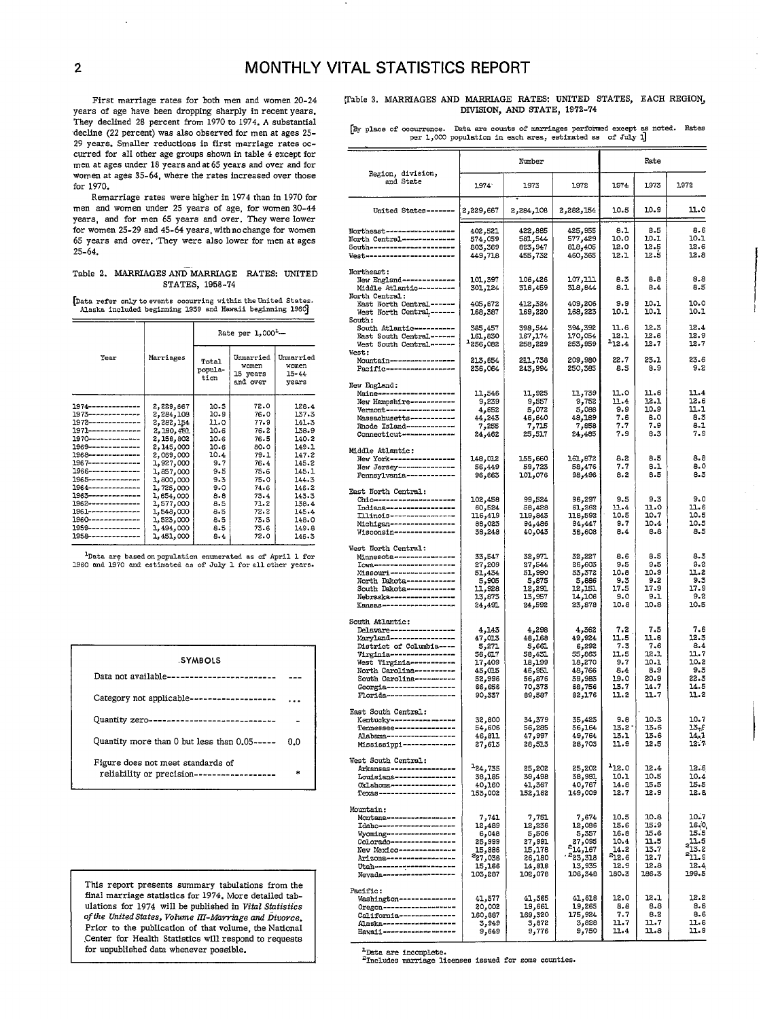## 2 **MONTHLY VITAL STATISTICS REPORT**

First marriage rates for both men and women 20-24 years of age have been dropping sharply in recent years. They declined 28 percent from 1970 to 1974. A substantial decline (22 percent) was also observed for men at ages 25- 29 years. Smaller reductions in first marriage rates occurred for all other age groups shown in table 4 except for men at ages under 18 years and at 65 years and over and for women at ages 35-64, where the rates increased over those for 1970.

Remarriage rates were bigher in 1974 than in 1970 for men and women under 25 years of age, for women 30.44 years, and for men 65 years and over. They were lower for women 25-29 and 45-64 years, with no change for women 65 years and over. 'They were also lower for men at ages 25-64.

#### Table 2. MARRIAGES AND MARRIAGE RATES: UNITED STATES, 195S -74

[Data refer only to events occurring within the United States. mask. included beginning 1959 and Hawaii beginning 1964

|                                          |                        | Rate per 1,000 <sup>1</sup> - |                                            |                                      |  |  |
|------------------------------------------|------------------------|-------------------------------|--------------------------------------------|--------------------------------------|--|--|
| Year                                     | Marriages              | Total<br>popula-<br>tion      | Unmarried<br>women<br>15 years<br>and over | Unmarried<br>women<br>15–44<br>vears |  |  |
| 1974-------------                        |                        | 10.5                          | 72.0                                       | 128.4                                |  |  |
| $1973 - - - - - - - - - - - -$           | 2,229,667<br>2,284,108 | 10.9                          | 76.0                                       | 137.3                                |  |  |
| $1972 - - - - - - - - - - -$             | 2,282,154              | 11.0                          | 77.9                                       | 141.3                                |  |  |
| $1971$ --------------                    | 2,190,481              | 10.6                          | 76.2                                       | 138.9                                |  |  |
|                                          | 2,158,802              | 10.6                          | 76.5                                       | 140.2                                |  |  |
| 1969-------------                        | 2,145,000              | 10.6                          | 80.0                                       | 149.1                                |  |  |
| $1968 - - - - - - - - - - -$             | 2,069,000              | 10.4                          | 79.1                                       | 147.2                                |  |  |
| $1967$ --------------                    | 1,927,000              | 9.7                           | 76.4                                       | 145.2                                |  |  |
| 1966--------------                       | 1,857,000              | 9.5                           | 75.6                                       | 145.1                                |  |  |
| $1965 - - - - - - - - - - -$             | 1,800,000              | 9.3                           | 75.0                                       | 144.3                                |  |  |
| 1964--------------                       | 1,725,000              | 9.0                           | 74.6                                       | 146.2                                |  |  |
| 1963--------------                       | 1,654,000              | 8.8                           | 73.4                                       | 143.3                                |  |  |
| 1962-------------                        | 1,577,000              | 8.5                           | 71.2                                       | 138.4                                |  |  |
| 1961--------------                       | 1,548,000              | 8.5                           | 72.2                                       | 145.4                                |  |  |
| 1960-------------                        | 1,523,000              | 8.5                           | 73.5                                       | 148.0                                |  |  |
| $1959$ -------------                     | 1,494,000              | 8.5                           | 73.6                                       | 149.8                                |  |  |
| 195 <del>8 - - - - - - - - - - - -</del> | 1,451,000              | 8.4                           | 72.0                                       | 146.3                                |  |  |
|                                          |                        |                               |                                            |                                      |  |  |

lData are based onpopulatim **enumerated as** of April 1 for 1960 and 1970 and estimted .98of July 1 for allothe= years.



This report presents summary tabulations from the final marriage statistics for 1974. More detailed tabulations for 1974 will be published in Vital Statistics *of the United Slates,* Volume *IfI-Marrfage ami Divorce.*  Prior to the publication of that volume, the Nattonal Center for Health Statistics will respond to requests for unpublished data whenever possible.

(Table 3, MARRIAGES AND MARRIAGE RATES: UNITED STATES, EACH REGION, DIVISION, AND STATE, 1972-74

By place of occurrence. Data are counts of marriages performed except as noted. Rates per 1,000 population in each area, estimated as of July I]

|                                                                        |                     | Rate               |                    |               |              |                       |
|------------------------------------------------------------------------|---------------------|--------------------|--------------------|---------------|--------------|-----------------------|
| Region, division,<br>and State                                         | 1974.               | 1973               | 1972               | 1974          | 1973         | 1972                  |
| United States-------                                                   | 2,229,667           | 2,284,108          | 2,282,154          | 10.5          | 10.9         | 11.0                  |
| Northeast------------------                                            | 402,521             | 422,885            | 425,955            | 8.1           | 8.5          | 8.6                   |
| North Central-------------<br>South---------------------               | 574,059             | 581,544            | 577,429            | 10.0<br>12.0  | 10.1<br>12.5 | 10.1<br>12.6          |
| West-----------------------                                            | 803,369<br>449,718  | 823,947<br>455,732 | 818,405<br>460,365 | 12.1          | 12.5         | 12.8                  |
| Northeast:                                                             |                     |                    |                    |               |              |                       |
| New England-------------<br>Middle Atlantic---------<br>North Central: | 101,397<br>301,124  | 106,426<br>316,459 | 107,111<br>318,844 | 8.3<br>8.1    | 8.8<br>8.4   | 8.8<br>8.5            |
| East North Central ------<br>West North Central ------                 | 405,672<br>168,387  | 412,324<br>169,220 | 409,206<br>168,223 | 9.9<br>10.1   | 10.1<br>10.1 | 10.0<br>10.1          |
| South:<br>South Atlantic----------                                     | 385,457             | 398,544            | 394,392            | 11.6          | 12.3         | 12.4                  |
| East South Central ------<br>West South Central------                  | 161,830<br>-256,082 | 167,174<br>258,229 | 170,054<br>253,959 | 12.1<br>212.4 | 12.6<br>12.7 | 12.9<br>12.7          |
| <b>West:</b><br>Mountain----------------                               | 213,654             | 211,738            | 209,980            | 22.7          | 23.1         | 23.6                  |
| Pacific------------------                                              | 236,064             | 243,994            | 250,385            | 8.5           | 8.9          | 9.2                   |
| New England:                                                           |                     |                    |                    |               |              |                       |
| Maine-------------------                                               | 11,546              | 11,925             | 11,739             | 11.0          | 11.6         | 11.4                  |
| New Hampshire-----------<br>Vermont ------------------                 | 9,239<br>4,652      | 9,557<br>5,072     | 9,752<br>5,088     | 11.4<br>9.9   | 12.1<br>10.9 | 12.6<br>11.1          |
| Massachusetts -----------                                              | 44,243              | 46,640             | 48,189             | 7.6           | 8.0          | 8.3                   |
| Rhode Island------------<br>Connecticut --------------                 | 7,255<br>24,462     | 7,715<br>25,517    | 7,858<br>24,485    | 7.7<br>7.9    | 7.9<br>8.3   | 8.1<br>7.9            |
| Middle Atlantic:                                                       |                     |                    |                    |               |              |                       |
| New York-----------------                                              | 148,012             | 155,660            | 161,872            | 8.2           | 8.5          | 8.8                   |
| New Jersey---------------<br>Pennsylvania------------                  | 56,449<br>96,663    | 59,723<br>101,076  | 58,476<br>98,496   | 7.7<br>8.2    | 8.1<br>8.5   | 8.0<br>8.3            |
| East North Central:                                                    |                     |                    |                    |               |              |                       |
| Ohio--------------------<br>Indiana------------------                  | 102,458<br>60,524   | 99,524<br>58,428   | 96,297<br>61,262   | 9.5<br>11.4   | 9.3<br>11.0  | 9.0<br>11.6           |
| Tllinois-----------------                                              | 116,419             | 119,843            | 118,592            | 10.5          | 10.7         | 10.5                  |
| Michigan----------------<br>Wisconsin---------------                   | 88,023<br>38,248    | 94,486<br>40,043   | 94,447<br>38,608   | 9.7<br>8.4    | 10.4<br>8.8  | 10.5<br>8.5           |
| West North Central:<br>Minnesota --------------                        | 33,547              | 32,971             | 32,227             | 8.6           | 8.5          | 8.3                   |
| Iowa---------------------                                              | 27,209              | 27,544             | 26,603             | 9.5           | 9.5          | 9.2                   |
| Missouri-----------------<br>North Dakota------------                  | 51,434<br>5,905     | 51,990<br>5,875    | 53,372<br>5,886    | 10.8<br>9.3   | 10.9<br>9.2  | 11.2<br>9.3           |
| South Dakota ------------                                              | 11,928              | 12,291             | 12,151             | 17.5          | 17.9         | 17.9                  |
| Nebraska----------------<br>Kansas------------------                   | 13,873<br>24,491    | 13,957<br>24,592   | 14,106<br>23,878   | 9.0<br>10.8   | 9.1<br>10.8  | 9.2<br>10.5           |
|                                                                        |                     |                    |                    |               |              |                       |
| South Atlantic:<br>Delaware----------------                            | 4,143               | 4,298              | 362ر4              | 7.2           | 7.5          | 7.6                   |
| Maryland----------------                                               | 47,013              | 48,168             | 49,924             | 11.5          | 11.6         | 12.3                  |
| District of Columbia ----<br>Virginia-----------------                 | 5,271<br>56,617     | 5,661<br>58,431    | 6,292<br>55,863    | 7.3<br>11.5   | 7.6<br>12.1  | 8.4<br>11.7           |
| West Virginia-----------                                               | 17,409              | 18,199             | 18,270             | 9.7           | 10.1         | 10.2                  |
| North Carolina----------<br>South Carolina-----------                  | 45,015<br>52,996    | 46,951<br>56,876   | 48,766<br>59,983   | 8.4<br>19.0   | 8.9<br>20.9  | 9.3<br>22.3           |
| Georgia-----------------                                               | 66,656              | 70,373             | 68,756             | 13.7          | 14.7         | 14.5                  |
| Florida-------------------                                             | 90,337              | 89,587             | 82,176             | 11.2          | 11.7         | 11.2                  |
| East South Central:<br>Kentucky----------------                        | 32,800              | 34,379             | 35,423             | 9.8           | 10.3         | 10.7                  |
| Tennessee---------------                                               | 54,606              | 56,285             | 56,164             | 13.2          | 13.6         | 13.e                  |
| Alabama------------------<br>Mississippi-------------                  | 46,811<br>27,613    | 47,997<br>28,513   | 49,764<br>28,703   | 13.1<br>11.9  | 13.6<br>12.5 | 14, 1<br>12.7         |
| West South Central:                                                    |                     |                    |                    |               |              |                       |
| Arkansas-----------------                                              | $^{1}$ 24,735       | 25,202             | 25,202             | 112.0         | 12.4         | 12.6                  |
| Louisiana---------------<br>Oklahoma----------------                   | 38,185<br>40,160    | 39,498<br>41,367   | 38,981<br>40,767   | 10.1<br>14.8  | 10.5<br>15.5 | 10.4<br>15.5          |
| Texas--------------------                                              | 153,002             | 152,162            | 149,009            | 12.7          | 12.9         | 12.8                  |
| Mountain:                                                              |                     |                    |                    |               |              |                       |
| Montana-----------------<br>Idaho--------------------                  | 7,741<br>12,489     | 7,751.<br>12,236   | 7,674<br>12,086    | 10.5<br>15.6  | 10.8<br>15.9 | 10.7<br>16.0          |
| Wyoming------------------                                              | 6,048               | 5,506              | 5,357              | 16.8          | 15.6         | 15.5                  |
| Colorado ----------------<br>New Mexico--------------                  | 25,999<br>886, 15   | 27,991<br>15,178   | 27,095<br>214,167  | 10.4<br>14.2  | 11.5<br>13.7 | $2^{11.5}_{13.2}$     |
| Arizona ------------------                                             | 227,038             | 26,180             | 223,318            | $^{2}12.6$    | 12.7         | $\overline{^{2}11.9}$ |
| Utan-------------------                                                | 15,166              | 14,818             | 13,935             | 12.9          | 12.8         | 12.4                  |
| Nevada-------------------                                              | 103,287             | 102,078            | 106,348            | 180.3         | 186.3        | 199.5                 |
| Pacific:<br>Washington--------------                                   | 41,577              | 41,365             | 41,618             | 12.0          | 12.1         | 12.2                  |
| Oregon-------------------                                              | 20,002              | 19,661             | 19,265             | 8.8           | 8.8          | 8.8                   |
| California--------------<br>Alaska-------------------                  | 160,887             | 169,320            | 175,924<br>3,828   | 7.7<br>11.7   | 8.2<br>11.7  | 8.6<br>11.8           |
| Hawaii--------------------                                             | 3,949<br>9,649      | 3,872<br>9,776     | 9,750              | 11.4          | 11.8         | 11.9                  |
|                                                                        |                     |                    |                    |               |              |                       |

.Data are incomplete.

<sup>2</sup>Includes marriage licenses issued for some counties.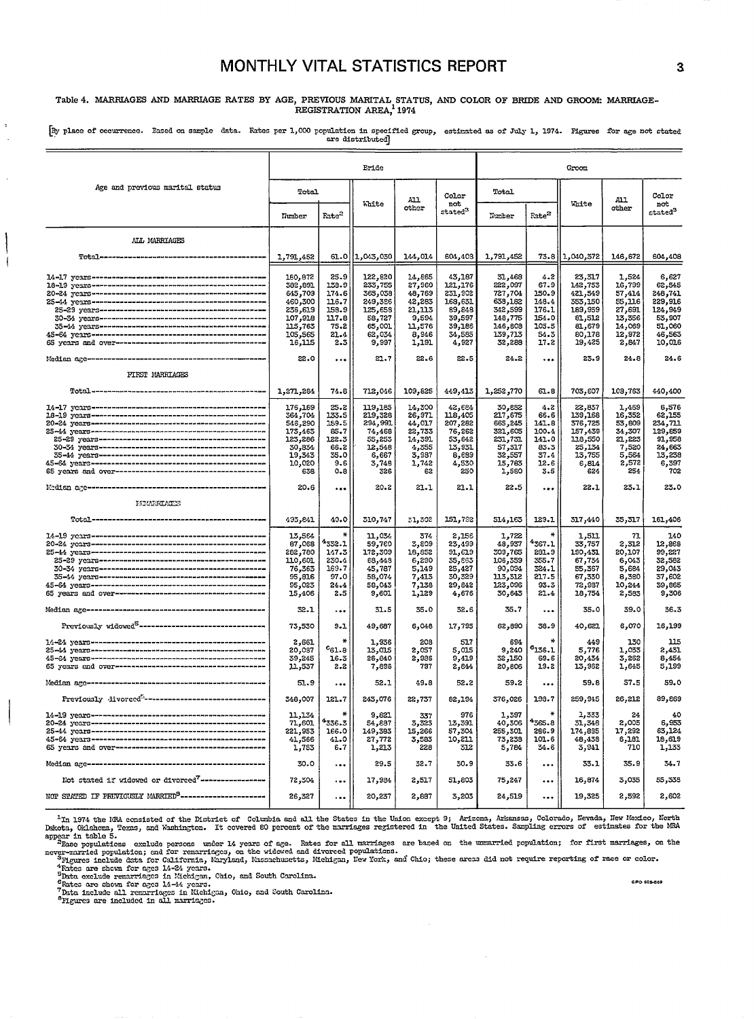## MONTHLY VITAL STATISTICS REPORT

## Table 4. MARRIAGES AND MARRIAGE RATES BY AGE, PREVIOUS MARITAL STATUS, AND COLOR OF BRIDE AND GROOM: MARRIAGE-REGISTRATION AREA<sup>1</sup>1974

[By place of occurrence. Eased on sample data. Rates per 1,000 population in specified group, estimated as of July 1, 1974. Figures for age not stated are distributed]

|                                                                     | Eride                                                                                                  |                                                                           |                                                                                                    |                                                                                             |                                                                                                  |                                                                                                       | Groom                                                                    |                                                                                                    |                                                                                              |                                                                                                  |
|---------------------------------------------------------------------|--------------------------------------------------------------------------------------------------------|---------------------------------------------------------------------------|----------------------------------------------------------------------------------------------------|---------------------------------------------------------------------------------------------|--------------------------------------------------------------------------------------------------|-------------------------------------------------------------------------------------------------------|--------------------------------------------------------------------------|----------------------------------------------------------------------------------------------------|----------------------------------------------------------------------------------------------|--------------------------------------------------------------------------------------------------|
| Age and previous marital status                                     | Total<br>Tumber                                                                                        | Fate <sup>2</sup>                                                         | White                                                                                              | A11<br>other                                                                                | Color<br>not<br>stated <sup>3</sup>                                                              | Total<br>Number                                                                                       | Fate <sup>2</sup>                                                        | White                                                                                              | A11<br>other                                                                                 | Color<br>not<br>$_{\rm stated}^3$                                                                |
| ALL MARRIAGES                                                       |                                                                                                        |                                                                           |                                                                                                    |                                                                                             |                                                                                                  |                                                                                                       |                                                                          |                                                                                                    |                                                                                              |                                                                                                  |
|                                                                     | 1,791,452                                                                                              | 61.0                                                                      | 1,043,030                                                                                          | 144,014                                                                                     | 604,408                                                                                          | 1,791,452                                                                                             | 73.8                                                                     | 1,040,372                                                                                          | 146,672                                                                                      | 604,408                                                                                          |
|                                                                     | 180,872<br>382,891<br>645,709<br>460,300<br>236,619<br>107,918<br>115,763<br>105,565<br>16,115<br>22.0 | 25.9<br>139.9<br>174.6<br>116.7<br>158.9<br>117.8<br>75.2<br>21.4<br>2.3  | 122,820<br>233,755<br>365,058<br>249,386<br>125,658<br>58,727<br>65,001<br>62,034<br>9,997<br>21.7 | 14,865<br>27,960<br>48,769<br>42,283<br>21,113<br>9,594<br>11,576<br>8,946<br>1,191<br>22.6 | 43,187<br>121,176<br>231,902<br>168,631<br>89,848<br>39,597<br>39,186<br>34,585<br>4,927<br>22.5 | 31,468<br>222,097<br>727,704<br>639,182<br>342,599<br>148,775<br>146,808<br>139,713<br>32,288<br>24.2 | 4.2<br>67.9<br>150.9<br>148.4<br>176.1<br>154.0<br>105.5<br>54.3<br>17.2 | 23,317<br>142,753<br>421,549<br>353,150<br>189,959<br>81,512<br>81,679<br>80,178<br>19,425<br>23.9 | 1,524<br>16,799<br>57,414<br>55,116<br>27,691<br>13,356<br>14,069<br>12,972<br>2,847<br>24.8 | 6,627<br>62,545<br>248,741<br>229,916<br>124,949<br>53,907<br>51,060<br>46,563<br>10,016<br>24.6 |
| FIRST MARRIAGES                                                     |                                                                                                        | $\ddotsc$                                                                 |                                                                                                    |                                                                                             |                                                                                                  |                                                                                                       | $\ddotsc$                                                                |                                                                                                    |                                                                                              |                                                                                                  |
|                                                                     | 1,271,284                                                                                              | 74.8                                                                      | 712,016                                                                                            | 109,825                                                                                     | 449,413                                                                                          | 1,252,770                                                                                             | 61.8                                                                     | 703,607                                                                                            | 103,763                                                                                      | 440,400                                                                                          |
|                                                                     | 176,169<br>364,704<br>546,290<br>173,463<br>123,286<br>30,834<br>19,343<br>10,020<br>638               | 25.2<br>133.5<br>159.5<br>85.7<br>122.3<br>66.2<br>35.0<br>9.6<br>$0 - 8$ | 119,185<br>219,328<br>294,991<br>74,468<br>55,253<br>12,548<br>6,667<br>3,748<br>326               | 14,300<br>26,971<br>44,017<br>22,733<br>14,391<br>4,355<br>3,987<br>1,742<br>62             | 42,684<br>118,405<br>207,282<br>76,262<br>53,642<br>13,931<br>8,689<br>4,530<br>250              | 30,882<br>217,675<br>665,245<br>321,605<br>231,731<br>57,317<br>32,557<br>15,783<br>1,580             | 4.2<br>66.6<br>141.8<br>100.4<br>141.0<br>83.3<br>37.4<br>12.6<br>3.5    | 22,837<br>139,168<br>376,725<br>157,439<br>118,550<br>25,134<br>13,755<br>6,814<br>624             | 1,469<br>16,352<br>53,809<br>34,307<br>21,223<br>7,520<br>5,564<br>2,572<br>254              | 6,576<br>62,155<br>234,711<br>129,859<br>91,958<br>24,663<br>13,238<br>6,397<br>702              |
|                                                                     | 20.6                                                                                                   |                                                                           | 20.2                                                                                               | 21.1                                                                                        | 21.1                                                                                             | 22.5                                                                                                  | $\ddotsc$                                                                | 22.1                                                                                               | 23.1                                                                                         | 23.0                                                                                             |
| <b>FIRMERIAGES</b>                                                  |                                                                                                        |                                                                           |                                                                                                    |                                                                                             |                                                                                                  |                                                                                                       |                                                                          |                                                                                                    |                                                                                              |                                                                                                  |
|                                                                     | 493,841                                                                                                | 40.0                                                                      | 310,747                                                                                            | 31,302                                                                                      | 151,792                                                                                          | 514,163                                                                                               | 129.1                                                                    | 317,440                                                                                            | 35,317                                                                                       | 161,406                                                                                          |
|                                                                     | 13,564<br>87,068<br>282,780<br>110,601<br>76,363<br>95,816<br>95,023<br>15,406                         | ₩<br>1332.1<br>147.3<br>230.4<br>169.7<br>97.0<br>24.4<br>2.5             | 11,034<br>59,760<br>172,309<br>68,448<br>45,787<br>58,074<br>58,043<br>9,601                       | 374<br>3,809<br>18,852<br>6,290<br>5,149<br>7,413<br>7,138<br>1,129                         | 2,156<br>23,499<br>91,619<br>35,863<br>25,427<br>30,329<br>29,842<br>4,676                       | 1,722<br>48,937<br>309,765<br>106,359<br>90,034<br>113,312<br>123,096<br>30,643                       | 4367.1<br>231.9<br>355.7<br>324.1<br>217.5<br>93.3<br>21.4               | 1,511<br>33,757<br>190,431<br>67,734<br>55,367<br>67,330<br>72,987<br>18,754                       | 71<br>2,312<br>20,107<br>6,043<br>5,684<br>8,380<br>10,244<br>2,583                          | 140<br>12,868<br>99,227<br>32,582<br>29,043<br>37,602<br>39,865<br>9,306                         |
|                                                                     | 32.1                                                                                                   | $\ddotsc$                                                                 | 31.5                                                                                               | 35.0                                                                                        | 32.6                                                                                             | 35.7                                                                                                  | $\ddotsc$                                                                | 35.0                                                                                               | 39.0                                                                                         | 36.3                                                                                             |
| Previously widowed <sup>5</sup> --------------------------------    | 73,530                                                                                                 | $9 - 1$                                                                   | 49,687                                                                                             | 6,048                                                                                       | 17,795                                                                                           | 62,890                                                                                                | 38.9                                                                     | 40,621                                                                                             | 6,070                                                                                        | 16,199                                                                                           |
|                                                                     | 2,661<br>20,087<br>39,245<br>11,537                                                                    | $\star$<br>$c_{61.8}$<br>16.3<br>2.2                                      | 1,936<br>13,015<br>26,840<br>7,896                                                                 | 208<br>2,057<br>2,986<br>797                                                                | 517<br>5,015<br>9,419<br>2,844                                                                   | 694<br>9,240<br>32,150<br>20,806                                                                      | $\star$<br>$\boldsymbol{\mathsf{s}_{136.1}}$<br>69.6<br>19.2             | 449<br>5,776<br>20,434<br>13,962                                                                   | 130<br>1,033<br>3,262<br>1,645                                                               | 115<br>2,431<br>8,454<br>5,199                                                                   |
|                                                                     | 51.9                                                                                                   | $\ddotsc$                                                                 | 52.1                                                                                               | 49.8                                                                                        | 52.2                                                                                             | 59.2                                                                                                  | $\ddotsc$                                                                | 59.8                                                                                               | 57.5                                                                                         | 59.0                                                                                             |
|                                                                     | 348,007                                                                                                | 121.7                                                                     | 243,076                                                                                            | 22,737                                                                                      | 82,194                                                                                           | 376,026                                                                                               | 198.7                                                                    | 259,945                                                                                            | 26,212                                                                                       | 89,869                                                                                           |
|                                                                     | 11,134<br>71,601<br>221,953<br>41,566<br>1,753                                                         | $\star$<br>1336.3<br>166.0<br>41.0<br>6.7                                 | 9,821<br>54,887<br>149,383<br>27,772<br>1,213                                                      | 337<br>3,323<br>15,266<br>3,583<br>228                                                      | 976<br>13,391<br>57,301<br>10,211<br>312                                                         | 1,397<br>40,306<br>255,301<br>73,233<br>5,784                                                         | 4365.8<br>266.9<br>101.6<br>34.6                                         | 1,333<br>31,348<br>174,885<br>48,438<br>3,941                                                      | 24<br>2,005<br>17,292<br>6,181<br>710                                                        | 40<br>6,953<br>63,124<br>18,619<br>1,133                                                         |
|                                                                     | 30.0                                                                                                   | $\cdots$                                                                  | 29.5                                                                                               | 32.7                                                                                        | 30.9                                                                                             | 33.6                                                                                                  | $\ddotsc$                                                                | 33.1                                                                                               | 35.9                                                                                         | 34.7                                                                                             |
| Not stated if widowed or divorced <sup>7</sup> ------------------   | 72,304                                                                                                 | $\ddotsc$                                                                 | 17,984                                                                                             | 2,517                                                                                       | 51,803                                                                                           | 75,247                                                                                                |                                                                          | 16,874                                                                                             | 3,035                                                                                        | 55,338                                                                                           |
| NOT STATED IF PREVIOUSLY MARRIED <sup>8</sup> --------------------- | 26,327                                                                                                 | $\ddotsc$                                                                 | 20,237                                                                                             | 2,887                                                                                       | 3,203                                                                                            | 24,519                                                                                                | $\ddotsc$                                                                | 19,325                                                                                             | 2,592                                                                                        | 2,602                                                                                            |

Im 1974 the NRA consisted of the District of Columbia and all the States in the Union except 9; Arizona, Arkensus, Colorado, Hevada, New Mexico, North Dakots, Oklahoms, Texas, and Washington. It covered 80 percent of the m

Figures include data for Galicourals, tarying resolutions of the space in Market are shown for nges 14-24 years.<br>That exclude remarriages in Mehigan, Ohio, and South Carolina.<br>Thats are shown for ages 14-44 years.<br>That a r

÷,

GPO 905-569